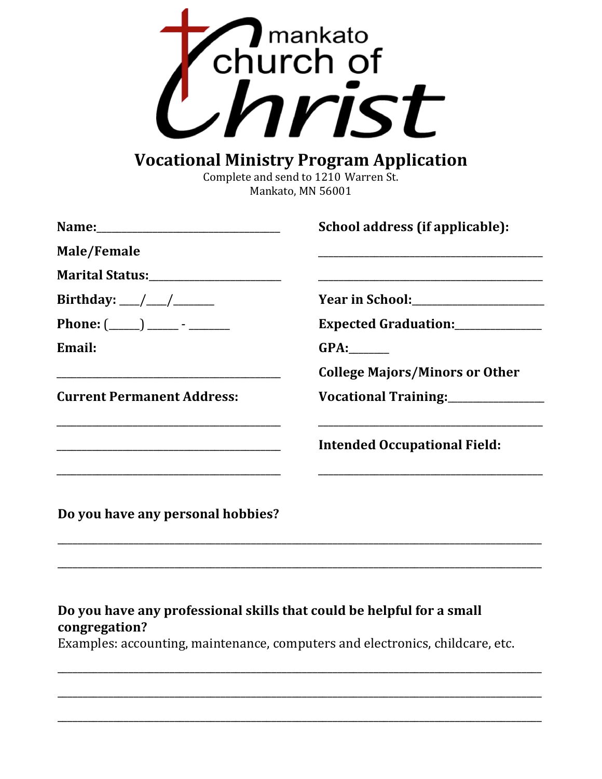

## **Vocational Ministry Program Application**

Complete and send to 1210 Warren St. Mankato, MN 56001

|                                       | School address (if applicable):       |
|---------------------------------------|---------------------------------------|
| Male/Female                           |                                       |
| Marital Status:______________________ |                                       |
| Birthday: ___/ ___/ _________         |                                       |
|                                       | Expected Graduation: ____________     |
| Email:                                | GPA:                                  |
|                                       | <b>College Majors/Minors or Other</b> |
| <b>Current Permanent Address:</b>     | Vocational Training: _______________  |
|                                       | <b>Intended Occupational Field:</b>   |
| Do you have any personal hobbies?     |                                       |

## Do you have any professional skills that could be helpful for a small congregation?

Examples: accounting, maintenance, computers and electronics, childcare, etc.